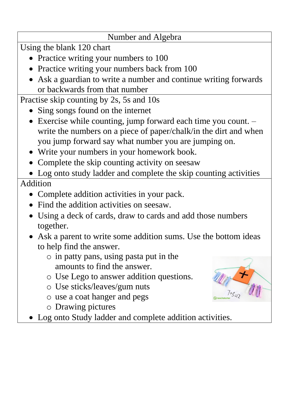## Number and Algebra

Using the blank 120 chart

- Practice writing your numbers to 100
- Practice writing your numbers back from 100
- Ask a guardian to write a number and continue writing forwards or backwards from that number

Practise skip counting by 2s, 5s and 10s

- Sing songs found on the internet
- Exercise while counting, jump forward each time you count. write the numbers on a piece of paper/chalk/in the dirt and when you jump forward say what number you are jumping on.
- Write your numbers in your homework book.
- Complete the skip counting activity on seesaw
- Log onto study ladder and complete the skip counting activities Addition
	- Complete addition activities in your pack.
	- Find the addition activities on seesaw.
	- Using a deck of cards, draw to cards and add those numbers together.
	- Ask a parent to write some addition sums. Use the bottom ideas to help find the answer.
		- o in patty pans, using pasta put in the amounts to find the answer.
		- o Use Lego to answer addition questions.
		- o Use sticks/leaves/gum nuts
		- o use a coat hanger and pegs
		- o Drawing pictures
	- Log onto Study ladder and complete addition activities.